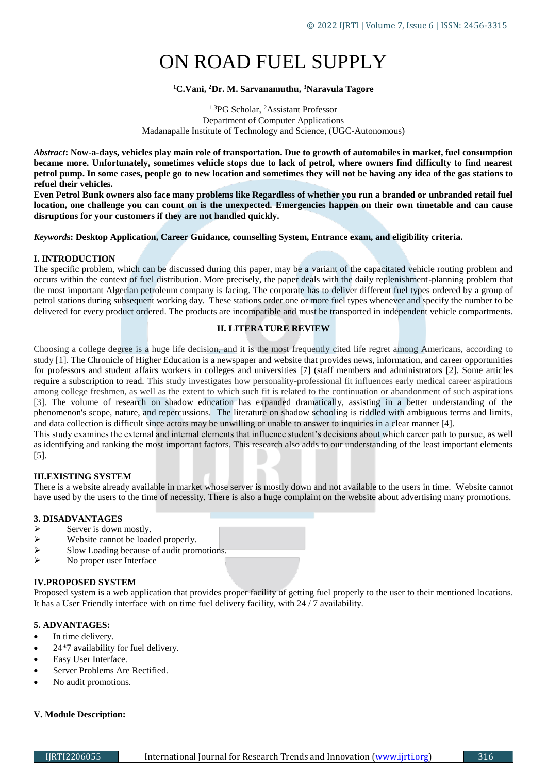# ON ROAD FUEL SUPPLY

# **<sup>1</sup>C.Vani, <sup>2</sup>Dr. M. Sarvanamuthu, <sup>3</sup>Naravula Tagore**

1,3PG Scholar, <sup>2</sup>Assistant Professor Department of Computer Applications Madanapalle Institute of Technology and Science, (UGC-Autonomous)

*Abstract***: Now-a-days, vehicles play main role of transportation. Due to growth of automobiles in market, fuel consumption became more. Unfortunately, sometimes vehicle stops due to lack of petrol, where owners find difficulty to find nearest petrol pump. In some cases, people go to new location and sometimes they will not be having any idea of the gas stations to refuel their vehicles.** 

**Even Petrol Bunk owners also face many problems like Regardless of whether you run a branded or unbranded retail fuel location, one challenge you can count on is the unexpected. Emergencies happen on their own timetable and can cause disruptions for your customers if they are not handled quickly.** 

*Keyword***s: Desktop Application, Career Guidance, counselling System, Entrance exam, and eligibility criteria.**

## **I. INTRODUCTION**

The specific problem, which can be discussed during this paper, may be a variant of the capacitated vehicle routing problem and occurs within the context of fuel distribution. More precisely, the paper deals with the daily replenishment-planning problem that the most important Algerian petroleum company is facing. The corporate has to deliver different fuel types ordered by a group of petrol stations during subsequent working day. These stations order one or more fuel types whenever and specify the number to be delivered for every product ordered. The products are incompatible and must be transported in independent vehicle compartments.

## **II. LITERATURE REVIEW**

Choosing a college degree is a huge life decision, and it is the most frequently cited life regret among Americans, according to study [1]. The Chronicle of Higher Education is a newspaper and website that provides news, information, and career opportunities for professors and student affairs workers in colleges and universities [7] (staff members and administrators [2]. Some articles require a subscription to read. This study investigates how personality-professional fit influences early medical career aspirations among college freshmen, as well as the extent to which such fit is related to the continuation or abandonment of such aspirations [3]. The volume of research on shadow education has expanded dramatically, assisting in a better understanding of the phenomenon's scope, nature, and repercussions. The literature on shadow schooling is riddled with ambiguous terms and limits, and data collection is difficult since actors may be unwilling or unable to answer to inquiries in a clear manner [4]. This study examines the external and internal elements that influence student's decisions about which career path to pursue, as well as identifying and ranking the most important factors. This research also adds to our understanding of the least important elements

## **III.EXISTING SYSTEM**

[5].

There is a website already available in market whose server is mostly down and not available to the users in time. Website cannot have used by the users to the time of necessity. There is also a huge complaint on the website about advertising many promotions.

## **3. DISADVANTAGES**

- $\triangleright$  Server is down mostly.<br> $\triangleright$  Website cannot be load
- Website cannot be loaded properly.
- $\triangleright$  Slow Loading because of audit promotions.
- $\triangleright$  No proper user Interface

# **IV.PROPOSED SYSTEM**

Proposed system is a web application that provides proper facility of getting fuel properly to the user to their mentioned locations. It has a User Friendly interface with on time fuel delivery facility, with 24 / 7 availability.

## **5. ADVANTAGES:**

- In time delivery.
- 24\*7 availability for fuel delivery.
- Easy User Interface.
- Server Problems Are Rectified.
- No audit promotions.

## **V. Module Description:**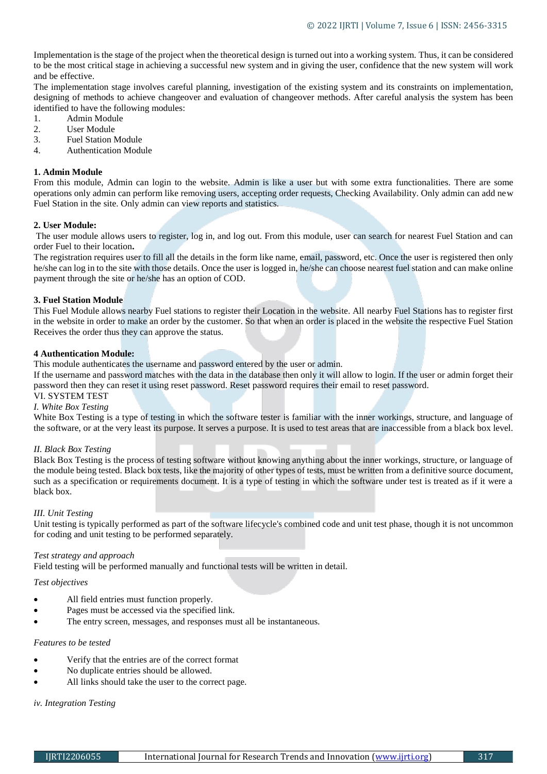Implementation is the stage of the project when the theoretical design is turned out into a working system. Thus, it can be considered to be the most critical stage in achieving a successful new system and in giving the user, confidence that the new system will work and be effective.

The implementation stage involves careful planning, investigation of the existing system and its constraints on implementation, designing of methods to achieve changeover and evaluation of changeover methods. After careful analysis the system has been identified to have the following modules:

- 1. Admin Module
- 2. User Module
- 3. Fuel Station Module
- 4. Authentication Module

#### **1. Admin Module**

From this module, Admin can login to the website. Admin is like a user but with some extra functionalities. There are some operations only admin can perform like removing users, accepting order requests, Checking Availability. Only admin can add new Fuel Station in the site. Only admin can view reports and statistics.

## **2. User Module:**

The user module allows users to register, log in, and log out. From this module, user can search for nearest Fuel Station and can order Fuel to their location**.**

The registration requires user to fill all the details in the form like name, email, password, etc. Once the user is registered then only he/she can log in to the site with those details. Once the user is logged in, he/she can choose nearest fuel station and can make online payment through the site or he/she has an option of COD.

#### **3. Fuel Station Module**

This Fuel Module allows nearby Fuel stations to register their Location in the website. All nearby Fuel Stations has to register first in the website in order to make an order by the customer. So that when an order is placed in the website the respective Fuel Station Receives the order thus they can approve the status.

#### **4 Authentication Module:**

This module authenticates the username and password entered by the user or admin.

If the username and password matches with the data in the database then only it will allow to login. If the user or admin forget their password then they can reset it using reset password. Reset password requires their email to reset password.

# VI. SYSTEM TEST

# *I. White Box Testing*

White Box Testing is a type of testing in which the software tester is familiar with the inner workings, structure, and language of the software, or at the very least its purpose. It serves a purpose. It is used to test areas that are inaccessible from a black box level.

## *II. Black Box Testing*

Black Box Testing is the process of testing software without knowing anything about the inner workings, structure, or language of the module being tested. Black box tests, like the majority of other types of tests, must be written from a definitive source document, such as a specification or requirements document. It is a type of testing in which the software under test is treated as if it were a black box.

## *III. Unit Testing*

Unit testing is typically performed as part of the software lifecycle's combined code and unit test phase, though it is not uncommon for coding and unit testing to be performed separately.

#### *Test strategy and approach*

Field testing will be performed manually and functional tests will be written in detail.

#### *Test objectives*

- All field entries must function properly.
- Pages must be accessed via the specified link.
- The entry screen, messages, and responses must all be instantaneous.

#### *Features to be tested*

- Verify that the entries are of the correct format
- No duplicate entries should be allowed.
- All links should take the user to the correct page.

# *iv. Integration Testing*